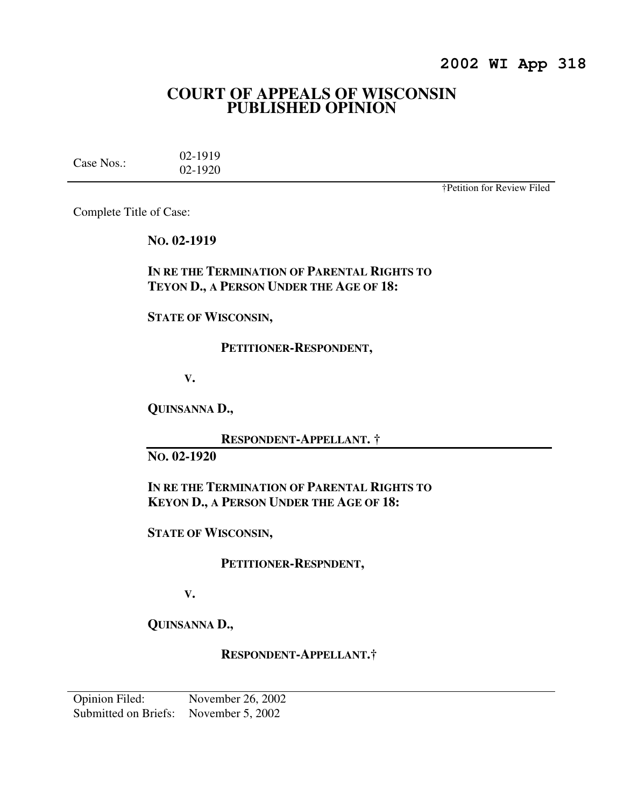# **2002 WI App 318**

# **COURT OF APPEALS OF WISCONSIN PUBLISHED OPINION**

Case Nos.: 02-1919 02-1920

†Petition for Review Filed

Complete Title of Case:

**NO. 02-1919** 

## **IN RE THE TERMINATION OF PARENTAL RIGHTS TO TEYON D., A PERSON UNDER THE AGE OF 18:**

**STATE OF WISCONSIN,** 

### **PETITIONER-RESPONDENT,**

**V.** 

**QUINSANNA D.,** 

 **RESPONDENT-APPELLANT. †** 

**NO. 02-1920** 

**IN RE THE TERMINATION OF PARENTAL RIGHTS TO KEYON D., A PERSON UNDER THE AGE OF 18:** 

**STATE OF WISCONSIN,** 

 **PETITIONER-RESPNDENT,** 

**V.** 

**QUINSANNA D.,** 

 **RESPONDENT-APPELLANT.†**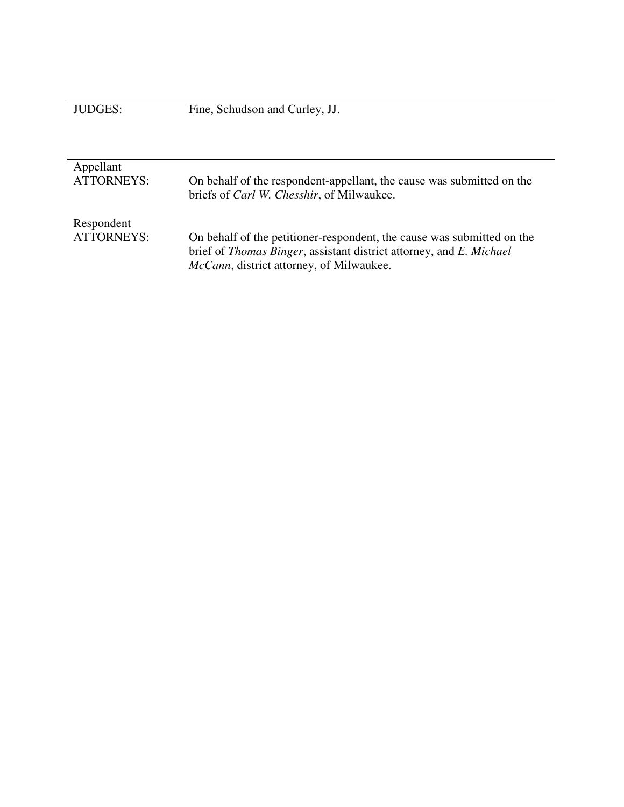|  | <b>JUDGES:</b> |  |  |
|--|----------------|--|--|
|  |                |  |  |

| Appellant<br><b>ATTORNEYS:</b>  | On behalf of the respondent-appellant, the cause was submitted on the<br>briefs of <i>Carl W. Chesshir</i> , of Milwaukee.                                                                        |
|---------------------------------|---------------------------------------------------------------------------------------------------------------------------------------------------------------------------------------------------|
| Respondent<br><b>ATTORNEYS:</b> | On behalf of the petitioner-respondent, the cause was submitted on the<br>brief of Thomas Binger, assistant district attorney, and E. Michael<br><i>McCann</i> , district attorney, of Milwaukee. |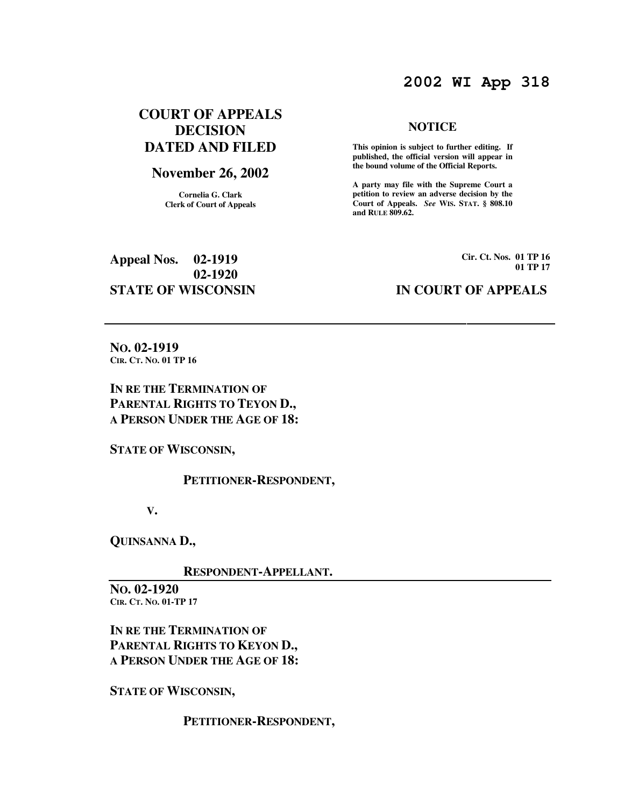# **2002 WI App 318**

## **COURT OF APPEALS DECISION DATED AND FILED**

### **November 26, 2002**

**Cornelia G. Clark Clerk of Court of Appeals**

### **NOTICE**

 **This opinion is subject to further editing. If published, the official version will appear in the bound volume of the Official Reports.** 

**A party may file with the Supreme Court a petition to review an adverse decision by the Court of Appeals.** *See* **WIS. STAT. § 808.10 and RULE 809.62.** 

**Appeal Nos. 02-1919 02-1920 STATE OF WISCONSIN IN COURT OF APPEALS** 

**Cir. Ct. Nos. 01 TP 16 01 TP 17**

**NO. 02-1919 CIR. CT. NO. 01 TP 16** 

**IN RE THE TERMINATION OF PARENTAL RIGHTS TO TEYON D., A PERSON UNDER THE AGE OF 18:** 

**STATE OF WISCONSIN,** 

 **PETITIONER-RESPONDENT,** 

**V.** 

**QUINSANNA D.,** 

 **RESPONDENT-APPELLANT.** 

**NO. 02-1920 CIR. CT. NO. 01-TP 17** 

**IN RE THE TERMINATION OF PARENTAL RIGHTS TO KEYON D., A PERSON UNDER THE AGE OF 18:** 

**STATE OF WISCONSIN,** 

 **PETITIONER-RESPONDENT,**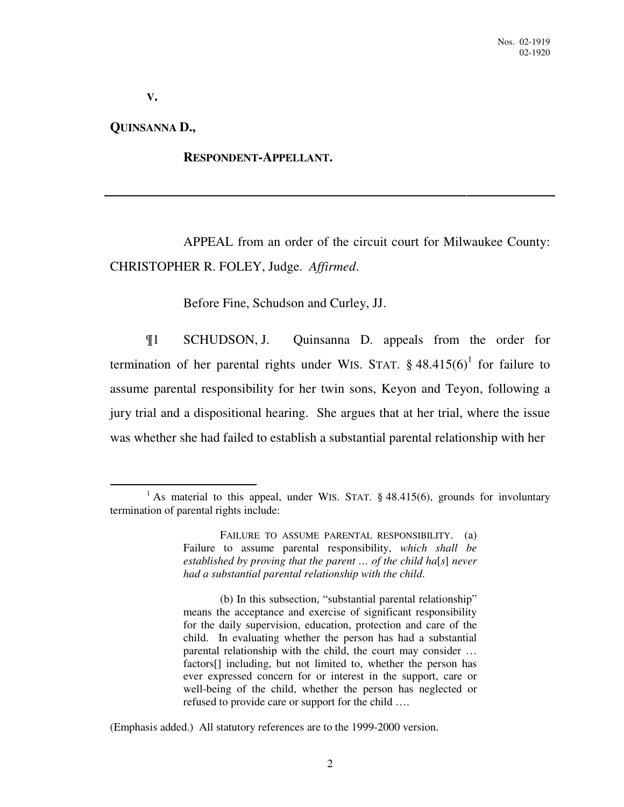**V.** 

**QUINSANNA D.,** 

 $\overline{a}$ 

### **RESPONDENT-APPELLANT.**

 APPEAL from an order of the circuit court for Milwaukee County: CHRISTOPHER R. FOLEY, Judge. *Affirmed*.

Before Fine, Schudson and Curley, JJ.

¶1 SCHUDSON, J. Quinsanna D. appeals from the order for termination of her parental rights under WIS. STAT.  $\S$  48.415(6)<sup>1</sup> for failure to assume parental responsibility for her twin sons, Keyon and Teyon, following a jury trial and a dispositional hearing. She argues that at her trial, where the issue was whether she had failed to establish a substantial parental relationship with her

 FAILURE TO ASSUME PARENTAL RESPONSIBILITY. (a) Failure to assume parental responsibility, *which shall be established by proving that the parent … of the child ha*[*s*] *never had a substantial parental relationship with the child*.

 (b) In this subsection, "substantial parental relationship" means the acceptance and exercise of significant responsibility for the daily supervision, education, protection and care of the child. In evaluating whether the person has had a substantial parental relationship with the child, the court may consider … factors[] including, but not limited to, whether the person has ever expressed concern for or interest in the support, care or well-being of the child, whether the person has neglected or refused to provide care or support for the child ….

(Emphasis added.) All statutory references are to the 1999-2000 version.

<sup>&</sup>lt;sup>1</sup> As material to this appeal, under WIS. STAT.  $§$  48.415(6), grounds for involuntary termination of parental rights include: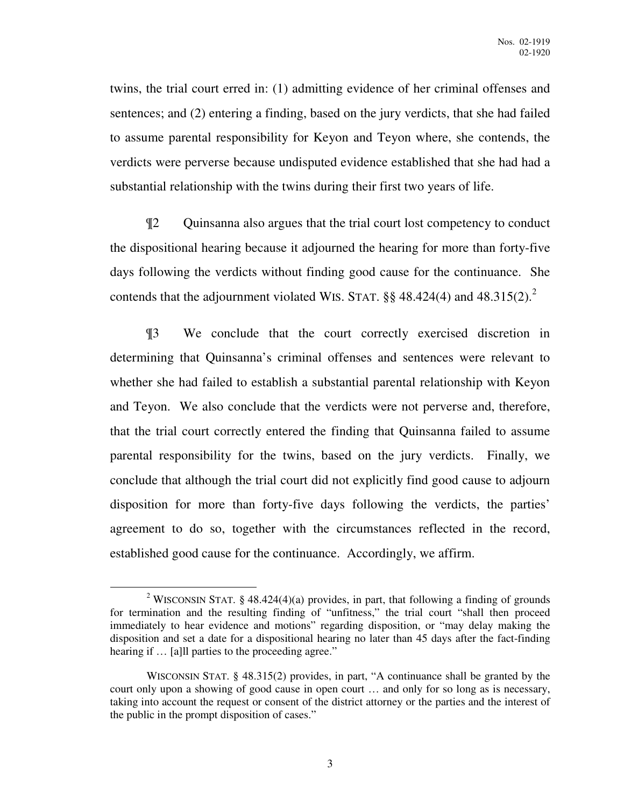twins, the trial court erred in: (1) admitting evidence of her criminal offenses and sentences; and (2) entering a finding, based on the jury verdicts, that she had failed to assume parental responsibility for Keyon and Teyon where, she contends, the verdicts were perverse because undisputed evidence established that she had had a substantial relationship with the twins during their first two years of life.

¶2 Quinsanna also argues that the trial court lost competency to conduct the dispositional hearing because it adjourned the hearing for more than forty-five days following the verdicts without finding good cause for the continuance. She contends that the adjournment violated WIS. STAT.  $\S\S 48.424(4)$  and  $48.315(2).^2$ 

¶3 We conclude that the court correctly exercised discretion in determining that Quinsanna's criminal offenses and sentences were relevant to whether she had failed to establish a substantial parental relationship with Keyon and Teyon. We also conclude that the verdicts were not perverse and, therefore, that the trial court correctly entered the finding that Quinsanna failed to assume parental responsibility for the twins, based on the jury verdicts. Finally, we conclude that although the trial court did not explicitly find good cause to adjourn disposition for more than forty-five days following the verdicts, the parties' agreement to do so, together with the circumstances reflected in the record, established good cause for the continuance. Accordingly, we affirm.

<sup>&</sup>lt;sup>2</sup> WISCONSIN STAT. § 48.424(4)(a) provides, in part, that following a finding of grounds for termination and the resulting finding of "unfitness," the trial court "shall then proceed immediately to hear evidence and motions" regarding disposition, or "may delay making the disposition and set a date for a dispositional hearing no later than 45 days after the fact-finding hearing if  $\ldots$  [a] parties to the proceeding agree."

WISCONSIN STAT. § 48.315(2) provides, in part, "A continuance shall be granted by the court only upon a showing of good cause in open court … and only for so long as is necessary, taking into account the request or consent of the district attorney or the parties and the interest of the public in the prompt disposition of cases."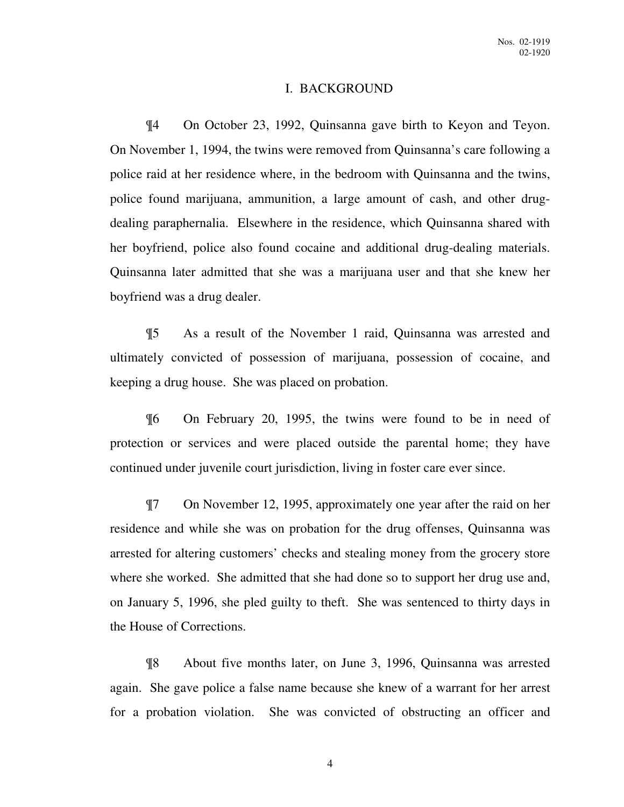### I. BACKGROUND

¶4 On October 23, 1992, Quinsanna gave birth to Keyon and Teyon. On November 1, 1994, the twins were removed from Quinsanna's care following a police raid at her residence where, in the bedroom with Quinsanna and the twins, police found marijuana, ammunition, a large amount of cash, and other drugdealing paraphernalia. Elsewhere in the residence, which Quinsanna shared with her boyfriend, police also found cocaine and additional drug-dealing materials. Quinsanna later admitted that she was a marijuana user and that she knew her boyfriend was a drug dealer.

¶5 As a result of the November 1 raid, Quinsanna was arrested and ultimately convicted of possession of marijuana, possession of cocaine, and keeping a drug house. She was placed on probation.

¶6 On February 20, 1995, the twins were found to be in need of protection or services and were placed outside the parental home; they have continued under juvenile court jurisdiction, living in foster care ever since.

¶7 On November 12, 1995, approximately one year after the raid on her residence and while she was on probation for the drug offenses, Quinsanna was arrested for altering customers' checks and stealing money from the grocery store where she worked. She admitted that she had done so to support her drug use and, on January 5, 1996, she pled guilty to theft. She was sentenced to thirty days in the House of Corrections.

¶8 About five months later, on June 3, 1996, Quinsanna was arrested again. She gave police a false name because she knew of a warrant for her arrest for a probation violation. She was convicted of obstructing an officer and

4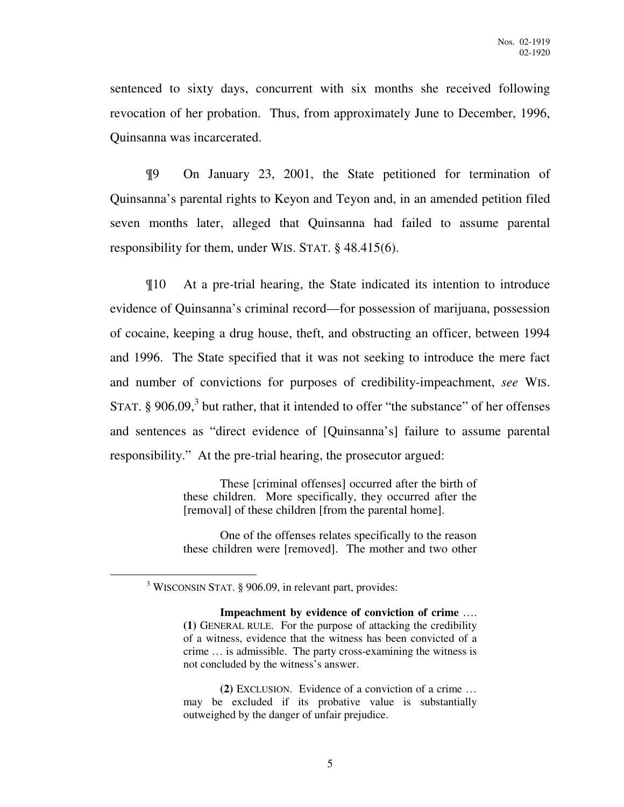sentenced to sixty days, concurrent with six months she received following revocation of her probation. Thus, from approximately June to December, 1996, Quinsanna was incarcerated.

¶9 On January 23, 2001, the State petitioned for termination of Quinsanna's parental rights to Keyon and Teyon and, in an amended petition filed seven months later, alleged that Quinsanna had failed to assume parental responsibility for them, under WIS. STAT. § 48.415(6).

¶10 At a pre-trial hearing, the State indicated its intention to introduce evidence of Quinsanna's criminal record—for possession of marijuana, possession of cocaine, keeping a drug house, theft, and obstructing an officer, between 1994 and 1996. The State specified that it was not seeking to introduce the mere fact and number of convictions for purposes of credibility-impeachment, *see* WIS. STAT.  $\S$  906.09,<sup>3</sup> but rather, that it intended to offer "the substance" of her offenses and sentences as "direct evidence of [Quinsanna's] failure to assume parental responsibility." At the pre-trial hearing, the prosecutor argued:

> These [criminal offenses] occurred after the birth of these children. More specifically, they occurred after the [removal] of these children [from the parental home].

> One of the offenses relates specifically to the reason these children were [removed]. The mother and two other

<sup>&</sup>lt;sup>3</sup> WISCONSIN STAT. § 906.09, in relevant part, provides:

**Impeachment by evidence of conviction of crime** …. **(1)** GENERAL RULE. For the purpose of attacking the credibility of a witness, evidence that the witness has been convicted of a crime … is admissible. The party cross-examining the witness is not concluded by the witness's answer.

 **<sup>(2)</sup>** EXCLUSION. Evidence of a conviction of a crime … may be excluded if its probative value is substantially outweighed by the danger of unfair prejudice.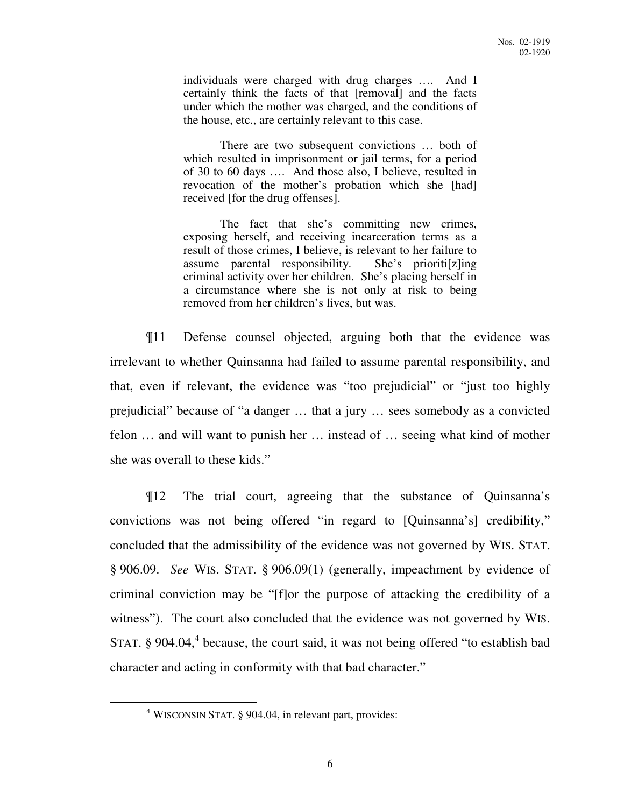individuals were charged with drug charges …. And I certainly think the facts of that [removal] and the facts under which the mother was charged, and the conditions of the house, etc., are certainly relevant to this case.

 There are two subsequent convictions … both of which resulted in imprisonment or jail terms, for a period of 30 to 60 days …. And those also, I believe, resulted in revocation of the mother's probation which she [had] received [for the drug offenses].

 The fact that she's committing new crimes, exposing herself, and receiving incarceration terms as a result of those crimes, I believe, is relevant to her failure to assume parental responsibility. She's prioriti[z]ing criminal activity over her children. She's placing herself in a circumstance where she is not only at risk to being removed from her children's lives, but was.

¶11 Defense counsel objected, arguing both that the evidence was irrelevant to whether Quinsanna had failed to assume parental responsibility, and that, even if relevant, the evidence was "too prejudicial" or "just too highly prejudicial" because of "a danger … that a jury … sees somebody as a convicted felon … and will want to punish her … instead of … seeing what kind of mother she was overall to these kids."

¶12 The trial court, agreeing that the substance of Quinsanna's convictions was not being offered "in regard to [Quinsanna's] credibility," concluded that the admissibility of the evidence was not governed by WIS. STAT. § 906.09. *See* WIS. STAT. § 906.09(1) (generally, impeachment by evidence of criminal conviction may be "[f]or the purpose of attacking the credibility of a witness"). The court also concluded that the evidence was not governed by WIS. STAT.  $\S$  904.04,<sup>4</sup> because, the court said, it was not being offered "to establish bad character and acting in conformity with that bad character."

<sup>4</sup> WISCONSIN STAT. § 904.04, in relevant part, provides: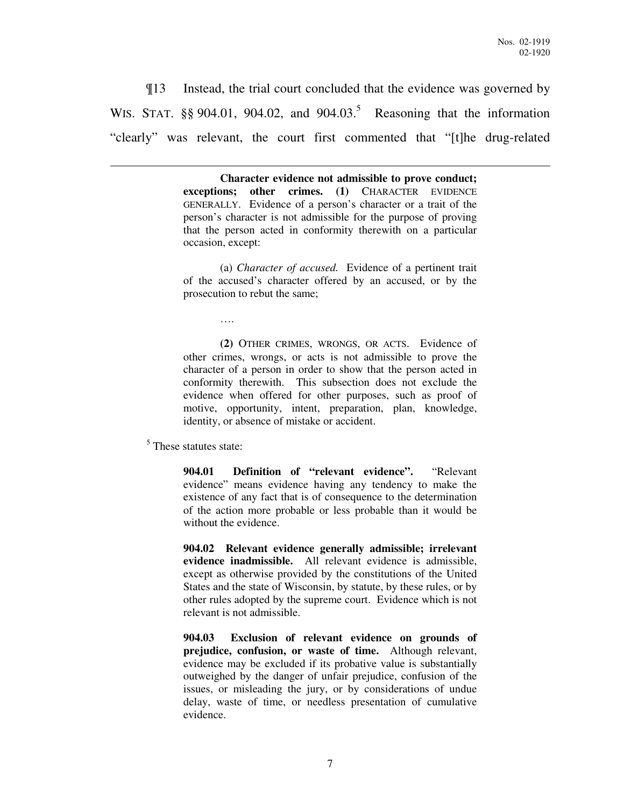¶13 Instead, the trial court concluded that the evidence was governed by WIS. STAT.  $\S\S 904.01$ ,  $904.02$ , and  $904.03$ .<sup>5</sup> Reasoning that the information "clearly" was relevant, the court first commented that "[t]he drug-related

> **Character evidence not admissible to prove conduct; exceptions; other crimes. (1)** CHARACTER EVIDENCE GENERALLY. Evidence of a person's character or a trait of the person's character is not admissible for the purpose of proving that the person acted in conformity therewith on a particular occasion, except:

> (a) *Character of accused.* Evidence of a pertinent trait of the accused's character offered by an accused, or by the prosecution to rebut the same;

> **(2)** OTHER CRIMES, WRONGS, OR ACTS. Evidence of other crimes, wrongs, or acts is not admissible to prove the character of a person in order to show that the person acted in conformity therewith. This subsection does not exclude the evidence when offered for other purposes, such as proof of motive, opportunity, intent, preparation, plan, knowledge, identity, or absence of mistake or accident.

<sup>5</sup> These statutes state:

….

 $\overline{a}$ 

**904.01 Definition of "relevant evidence".** "Relevant evidence" means evidence having any tendency to make the existence of any fact that is of consequence to the determination of the action more probable or less probable than it would be without the evidence.

**904.02 Relevant evidence generally admissible; irrelevant evidence inadmissible.** All relevant evidence is admissible, except as otherwise provided by the constitutions of the United States and the state of Wisconsin, by statute, by these rules, or by other rules adopted by the supreme court. Evidence which is not relevant is not admissible.

**904.03 Exclusion of relevant evidence on grounds of prejudice, confusion, or waste of time.** Although relevant, evidence may be excluded if its probative value is substantially outweighed by the danger of unfair prejudice, confusion of the issues, or misleading the jury, or by considerations of undue delay, waste of time, or needless presentation of cumulative evidence.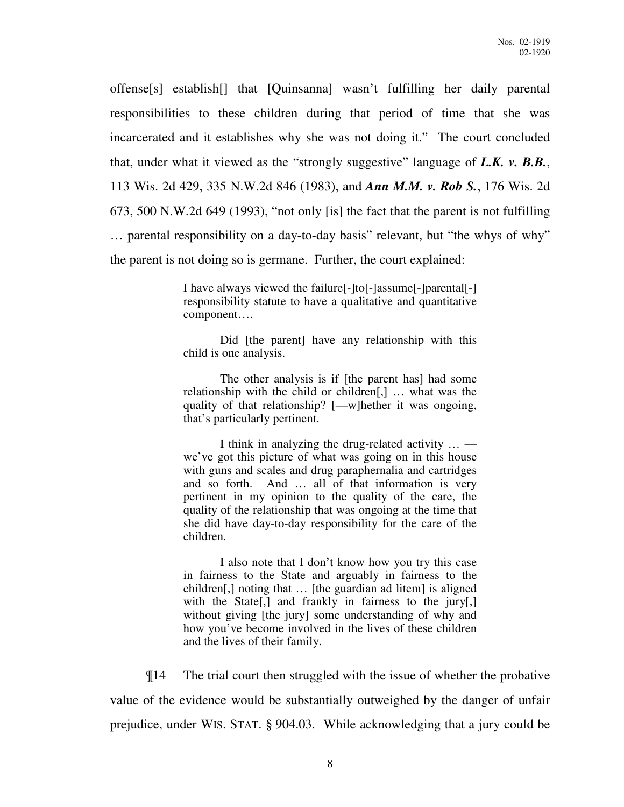offense[s] establish[] that [Quinsanna] wasn't fulfilling her daily parental responsibilities to these children during that period of time that she was incarcerated and it establishes why she was not doing it." The court concluded that, under what it viewed as the "strongly suggestive" language of *L.K. v. B.B.*, 113 Wis. 2d 429, 335 N.W.2d 846 (1983), and *Ann M.M. v. Rob S.*, 176 Wis. 2d 673, 500 N.W.2d 649 (1993), "not only [is] the fact that the parent is not fulfilling … parental responsibility on a day-to-day basis" relevant, but "the whys of why" the parent is not doing so is germane. Further, the court explained:

> I have always viewed the failure[-]to[-]assume[-]parental[-] responsibility statute to have a qualitative and quantitative component….

> Did [the parent] have any relationship with this child is one analysis.

> The other analysis is if [the parent has] had some relationship with the child or children[,] … what was the quality of that relationship? [—w]hether it was ongoing, that's particularly pertinent.

> I think in analyzing the drug-related activity … we've got this picture of what was going on in this house with guns and scales and drug paraphernalia and cartridges and so forth. And … all of that information is very pertinent in my opinion to the quality of the care, the quality of the relationship that was ongoing at the time that she did have day-to-day responsibility for the care of the children.

> I also note that I don't know how you try this case in fairness to the State and arguably in fairness to the children[,] noting that … [the guardian ad litem] is aligned with the State<sup>[1]</sup>, and frankly in fairness to the jury<sup>[1]</sup>, without giving [the jury] some understanding of why and how you've become involved in the lives of these children and the lives of their family.

¶14 The trial court then struggled with the issue of whether the probative value of the evidence would be substantially outweighed by the danger of unfair prejudice, under WIS. STAT. § 904.03. While acknowledging that a jury could be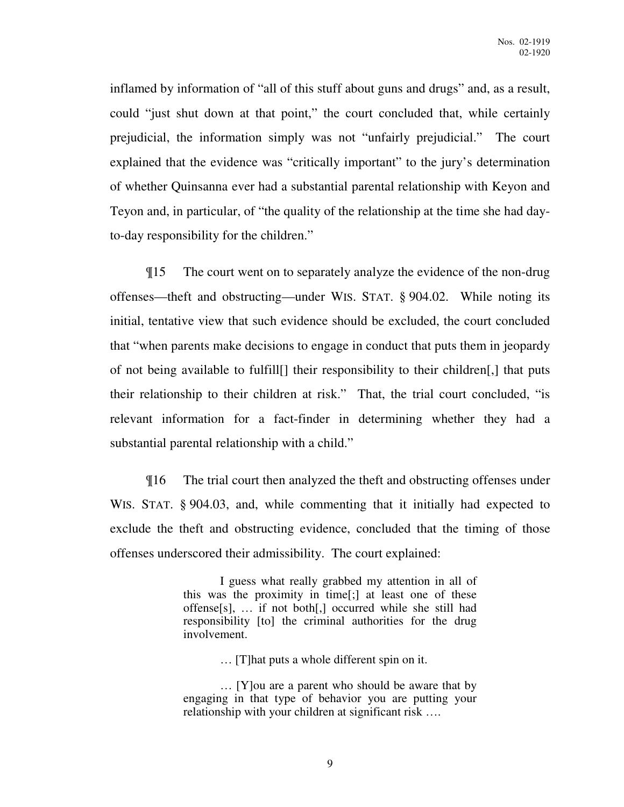inflamed by information of "all of this stuff about guns and drugs" and, as a result, could "just shut down at that point," the court concluded that, while certainly prejudicial, the information simply was not "unfairly prejudicial." The court explained that the evidence was "critically important" to the jury's determination of whether Quinsanna ever had a substantial parental relationship with Keyon and Teyon and, in particular, of "the quality of the relationship at the time she had dayto-day responsibility for the children."

¶15 The court went on to separately analyze the evidence of the non-drug offenses—theft and obstructing—under WIS. STAT. § 904.02. While noting its initial, tentative view that such evidence should be excluded, the court concluded that "when parents make decisions to engage in conduct that puts them in jeopardy of not being available to fulfill[] their responsibility to their children[,] that puts their relationship to their children at risk." That, the trial court concluded, "is relevant information for a fact-finder in determining whether they had a substantial parental relationship with a child."

¶16 The trial court then analyzed the theft and obstructing offenses under WIS. STAT. § 904.03, and, while commenting that it initially had expected to exclude the theft and obstructing evidence, concluded that the timing of those offenses underscored their admissibility. The court explained:

> I guess what really grabbed my attention in all of this was the proximity in time[;] at least one of these offense[s], … if not both[,] occurred while she still had responsibility [to] the criminal authorities for the drug involvement.

> > … [T]hat puts a whole different spin on it.

 … [Y]ou are a parent who should be aware that by engaging in that type of behavior you are putting your relationship with your children at significant risk ….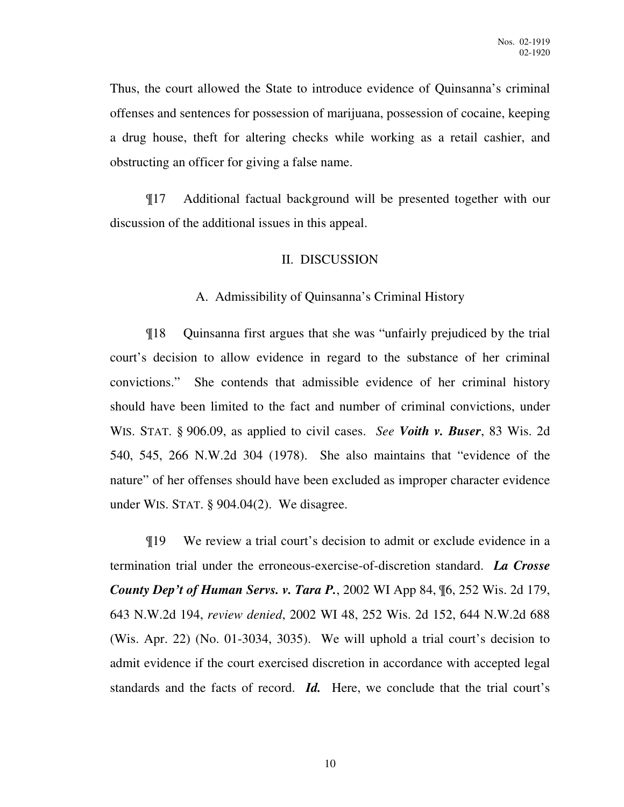Thus, the court allowed the State to introduce evidence of Quinsanna's criminal offenses and sentences for possession of marijuana, possession of cocaine, keeping a drug house, theft for altering checks while working as a retail cashier, and obstructing an officer for giving a false name.

¶17 Additional factual background will be presented together with our discussion of the additional issues in this appeal.

### II. DISCUSSION

### A. Admissibility of Quinsanna's Criminal History

¶18 Quinsanna first argues that she was "unfairly prejudiced by the trial court's decision to allow evidence in regard to the substance of her criminal convictions." She contends that admissible evidence of her criminal history should have been limited to the fact and number of criminal convictions, under WIS. STAT. § 906.09, as applied to civil cases. *See Voith v. Buser*, 83 Wis. 2d 540, 545, 266 N.W.2d 304 (1978). She also maintains that "evidence of the nature" of her offenses should have been excluded as improper character evidence under WIS. STAT. § 904.04(2). We disagree.

¶19 We review a trial court's decision to admit or exclude evidence in a termination trial under the erroneous-exercise-of-discretion standard. *La Crosse County Dep't of Human Servs. v. Tara P.*, 2002 WI App 84, ¶6, 252 Wis. 2d 179, 643 N.W.2d 194, *review denied*, 2002 WI 48, 252 Wis. 2d 152, 644 N.W.2d 688 (Wis. Apr. 22) (No. 01-3034, 3035). We will uphold a trial court's decision to admit evidence if the court exercised discretion in accordance with accepted legal standards and the facts of record. *Id.* Here, we conclude that the trial court's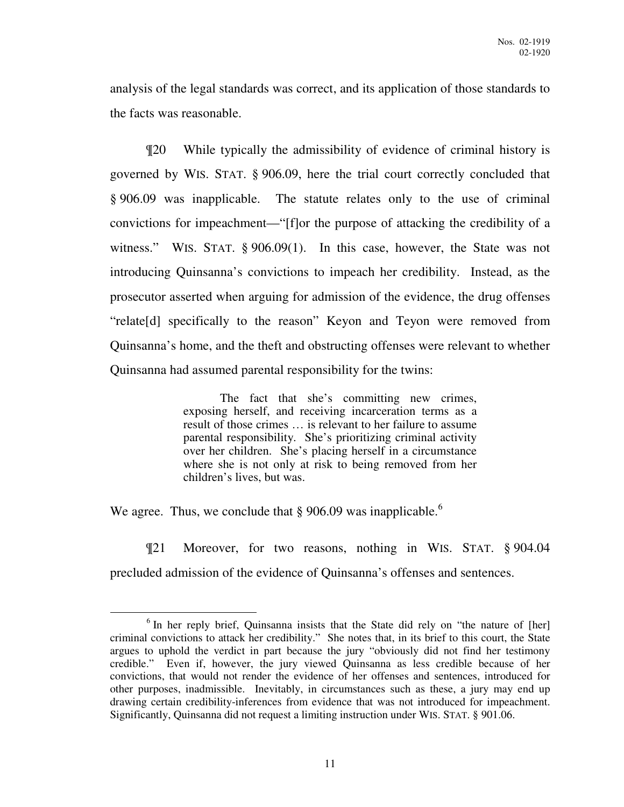analysis of the legal standards was correct, and its application of those standards to the facts was reasonable.

¶20 While typically the admissibility of evidence of criminal history is governed by WIS. STAT. § 906.09, here the trial court correctly concluded that § 906.09 was inapplicable. The statute relates only to the use of criminal convictions for impeachment—"[f]or the purpose of attacking the credibility of a witness." WIS. STAT. § 906.09(1). In this case, however, the State was not introducing Quinsanna's convictions to impeach her credibility. Instead, as the prosecutor asserted when arguing for admission of the evidence, the drug offenses "relate[d] specifically to the reason" Keyon and Teyon were removed from Quinsanna's home, and the theft and obstructing offenses were relevant to whether Quinsanna had assumed parental responsibility for the twins:

> The fact that she's committing new crimes, exposing herself, and receiving incarceration terms as a result of those crimes … is relevant to her failure to assume parental responsibility. She's prioritizing criminal activity over her children. She's placing herself in a circumstance where she is not only at risk to being removed from her children's lives, but was.

We agree. Thus, we conclude that  $\S 906.09$  was inapplicable.<sup>6</sup>

¶21 Moreover, for two reasons, nothing in WIS. STAT. § 904.04 precluded admission of the evidence of Quinsanna's offenses and sentences.

 $\overline{a}$ <sup>6</sup> In her reply brief, Quinsanna insists that the State did rely on "the nature of [her] criminal convictions to attack her credibility." She notes that, in its brief to this court, the State argues to uphold the verdict in part because the jury "obviously did not find her testimony credible." Even if, however, the jury viewed Quinsanna as less credible because of her convictions, that would not render the evidence of her offenses and sentences, introduced for other purposes, inadmissible. Inevitably, in circumstances such as these, a jury may end up drawing certain credibility-inferences from evidence that was not introduced for impeachment. Significantly, Quinsanna did not request a limiting instruction under WIS. STAT. § 901.06.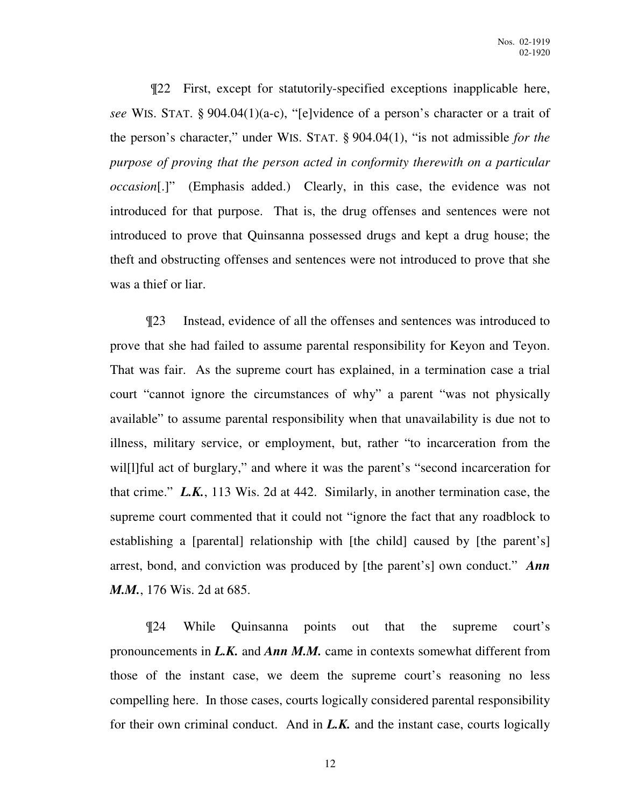¶22 First, except for statutorily-specified exceptions inapplicable here, *see* WIS. STAT. § 904.04(1)(a-c), "[e]vidence of a person's character or a trait of the person's character," under WIS. STAT. § 904.04(1), "is not admissible *for the purpose of proving that the person acted in conformity therewith on a particular occasion*[.]" (Emphasis added.) Clearly, in this case, the evidence was not introduced for that purpose. That is, the drug offenses and sentences were not introduced to prove that Quinsanna possessed drugs and kept a drug house; the theft and obstructing offenses and sentences were not introduced to prove that she was a thief or liar.

¶23 Instead, evidence of all the offenses and sentences was introduced to prove that she had failed to assume parental responsibility for Keyon and Teyon. That was fair. As the supreme court has explained, in a termination case a trial court "cannot ignore the circumstances of why" a parent "was not physically available" to assume parental responsibility when that unavailability is due not to illness, military service, or employment, but, rather "to incarceration from the will [1] ful act of burglary," and where it was the parent's "second incarceration for that crime." *L.K.*, 113 Wis. 2d at 442. Similarly, in another termination case, the supreme court commented that it could not "ignore the fact that any roadblock to establishing a [parental] relationship with [the child] caused by [the parent's] arrest, bond, and conviction was produced by [the parent's] own conduct." *Ann M.M.*, 176 Wis. 2d at 685.

¶24 While Quinsanna points out that the supreme court's pronouncements in *L.K.* and *Ann M.M.* came in contexts somewhat different from those of the instant case, we deem the supreme court's reasoning no less compelling here. In those cases, courts logically considered parental responsibility for their own criminal conduct. And in *L.K.* and the instant case, courts logically

12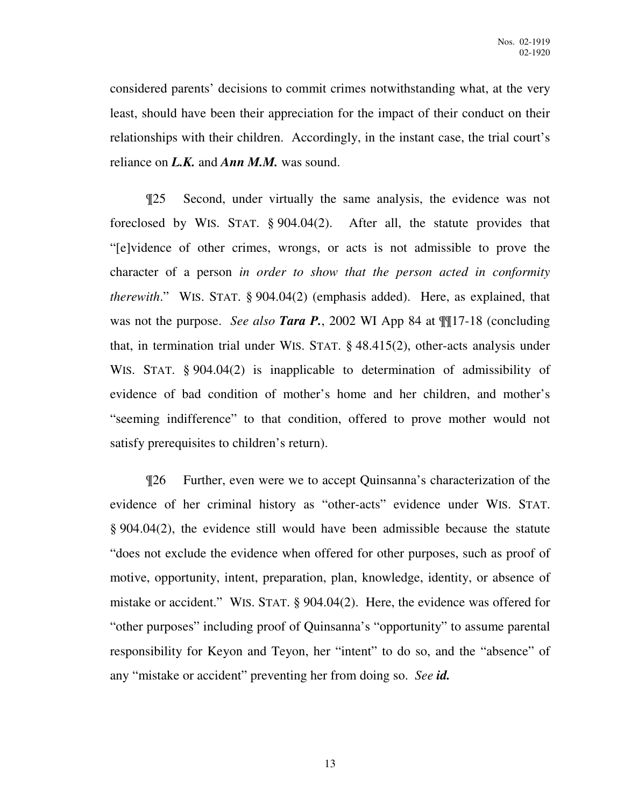considered parents' decisions to commit crimes notwithstanding what, at the very least, should have been their appreciation for the impact of their conduct on their relationships with their children. Accordingly, in the instant case, the trial court's reliance on *L.K.* and *Ann M.M.* was sound.

¶25 Second, under virtually the same analysis, the evidence was not foreclosed by WIS. STAT. § 904.04(2). After all, the statute provides that "[e]vidence of other crimes, wrongs, or acts is not admissible to prove the character of a person *in order to show that the person acted in conformity therewith*." WIS. STAT. § 904.04(2) (emphasis added). Here, as explained, that was not the purpose. *See also Tara P.*, 2002 WI App 84 at ¶¶17-18 (concluding that, in termination trial under WIS. STAT. § 48.415(2), other-acts analysis under WIS. STAT. § 904.04(2) is inapplicable to determination of admissibility of evidence of bad condition of mother's home and her children, and mother's "seeming indifference" to that condition, offered to prove mother would not satisfy prerequisites to children's return).

¶26 Further, even were we to accept Quinsanna's characterization of the evidence of her criminal history as "other-acts" evidence under WIS. STAT. § 904.04(2), the evidence still would have been admissible because the statute "does not exclude the evidence when offered for other purposes, such as proof of motive, opportunity, intent, preparation, plan, knowledge, identity, or absence of mistake or accident." WIS. STAT. § 904.04(2). Here, the evidence was offered for "other purposes" including proof of Quinsanna's "opportunity" to assume parental responsibility for Keyon and Teyon, her "intent" to do so, and the "absence" of any "mistake or accident" preventing her from doing so. *See id.*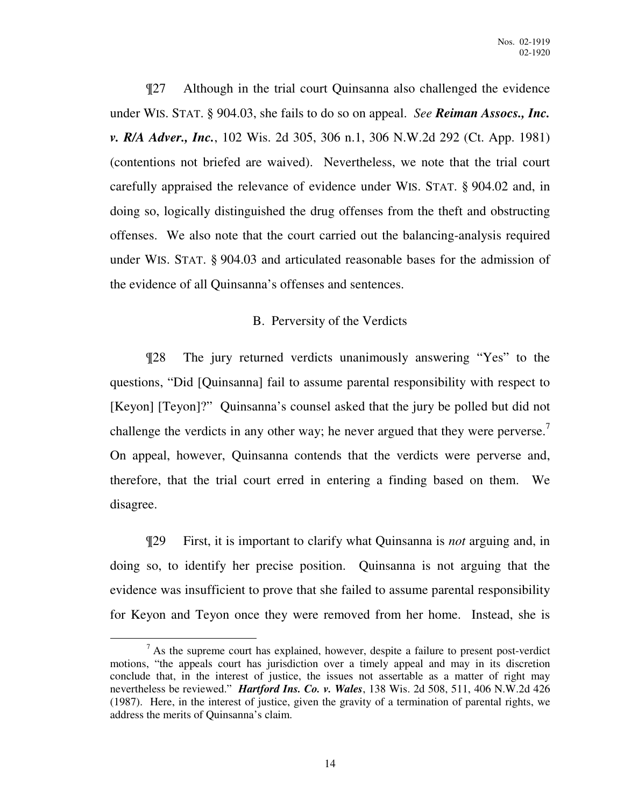¶27 Although in the trial court Quinsanna also challenged the evidence under WIS. STAT. § 904.03, she fails to do so on appeal. *See Reiman Assocs., Inc. v. R/A Adver., Inc.*, 102 Wis. 2d 305, 306 n.1, 306 N.W.2d 292 (Ct. App. 1981) (contentions not briefed are waived). Nevertheless, we note that the trial court carefully appraised the relevance of evidence under WIS. STAT. § 904.02 and, in doing so, logically distinguished the drug offenses from the theft and obstructing offenses. We also note that the court carried out the balancing-analysis required under WIS. STAT. § 904.03 and articulated reasonable bases for the admission of the evidence of all Quinsanna's offenses and sentences.

## B. Perversity of the Verdicts

¶28 The jury returned verdicts unanimously answering "Yes" to the questions, "Did [Quinsanna] fail to assume parental responsibility with respect to [Keyon] [Teyon]?" Quinsanna's counsel asked that the jury be polled but did not challenge the verdicts in any other way; he never argued that they were perverse.<sup>7</sup> On appeal, however, Quinsanna contends that the verdicts were perverse and, therefore, that the trial court erred in entering a finding based on them. We disagree.

¶29 First, it is important to clarify what Quinsanna is *not* arguing and, in doing so, to identify her precise position. Quinsanna is not arguing that the evidence was insufficient to prove that she failed to assume parental responsibility for Keyon and Teyon once they were removed from her home. Instead, she is

 $\overline{a}$  $<sup>7</sup>$  As the supreme court has explained, however, despite a failure to present post-verdict</sup> motions, "the appeals court has jurisdiction over a timely appeal and may in its discretion conclude that, in the interest of justice, the issues not assertable as a matter of right may nevertheless be reviewed." *Hartford Ins. Co. v. Wales*, 138 Wis. 2d 508, 511, 406 N.W.2d 426 (1987). Here, in the interest of justice, given the gravity of a termination of parental rights, we address the merits of Quinsanna's claim.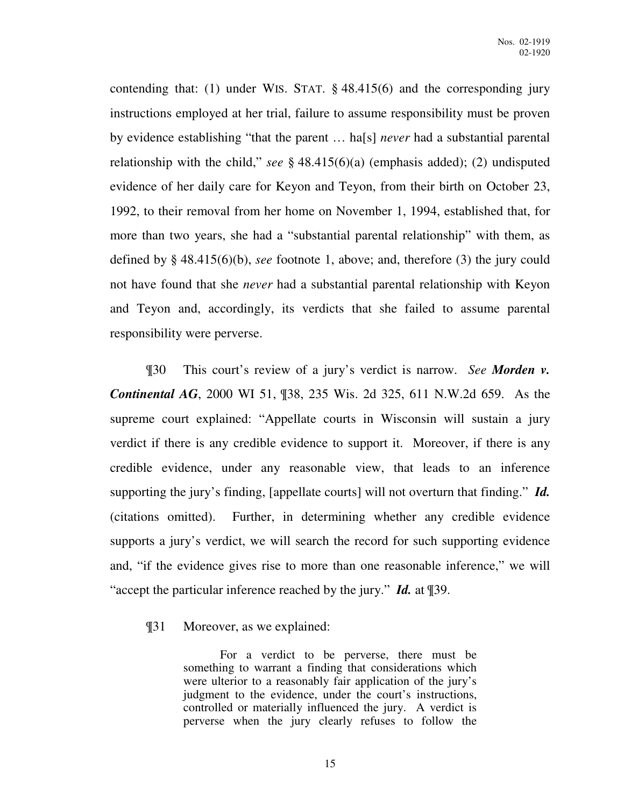contending that: (1) under WIS. STAT. § 48.415(6) and the corresponding jury instructions employed at her trial, failure to assume responsibility must be proven by evidence establishing "that the parent … ha[s] *never* had a substantial parental relationship with the child," *see* § 48.415(6)(a) (emphasis added); (2) undisputed evidence of her daily care for Keyon and Teyon, from their birth on October 23, 1992, to their removal from her home on November 1, 1994, established that, for more than two years, she had a "substantial parental relationship" with them, as defined by § 48.415(6)(b), *see* footnote 1, above; and, therefore (3) the jury could not have found that she *never* had a substantial parental relationship with Keyon and Teyon and, accordingly, its verdicts that she failed to assume parental responsibility were perverse.

¶30 This court's review of a jury's verdict is narrow. *See Morden v. Continental AG*, 2000 WI 51, ¶38, 235 Wis. 2d 325, 611 N.W.2d 659. As the supreme court explained: "Appellate courts in Wisconsin will sustain a jury verdict if there is any credible evidence to support it. Moreover, if there is any credible evidence, under any reasonable view, that leads to an inference supporting the jury's finding, [appellate courts] will not overturn that finding." *Id.* (citations omitted). Further, in determining whether any credible evidence supports a jury's verdict, we will search the record for such supporting evidence and, "if the evidence gives rise to more than one reasonable inference," we will "accept the particular inference reached by the jury." *Id.* at ¶39.

¶31 Moreover, as we explained:

 For a verdict to be perverse, there must be something to warrant a finding that considerations which were ulterior to a reasonably fair application of the jury's judgment to the evidence, under the court's instructions, controlled or materially influenced the jury. A verdict is perverse when the jury clearly refuses to follow the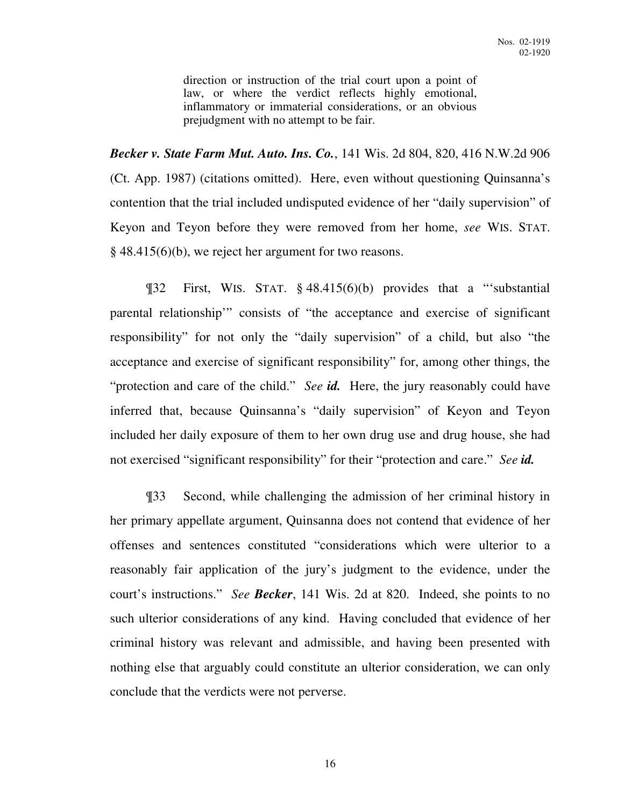direction or instruction of the trial court upon a point of law, or where the verdict reflects highly emotional, inflammatory or immaterial considerations, or an obvious prejudgment with no attempt to be fair.

*Becker v. State Farm Mut. Auto. Ins. Co.*, 141 Wis. 2d 804, 820, 416 N.W.2d 906 (Ct. App. 1987) (citations omitted). Here, even without questioning Quinsanna's contention that the trial included undisputed evidence of her "daily supervision" of Keyon and Teyon before they were removed from her home, *see* WIS. STAT. § 48.415(6)(b), we reject her argument for two reasons.

¶32 First, WIS. STAT. § 48.415(6)(b) provides that a "'substantial parental relationship'" consists of "the acceptance and exercise of significant responsibility" for not only the "daily supervision" of a child, but also "the acceptance and exercise of significant responsibility" for, among other things, the "protection and care of the child." *See id.* Here, the jury reasonably could have inferred that, because Quinsanna's "daily supervision" of Keyon and Teyon included her daily exposure of them to her own drug use and drug house, she had not exercised "significant responsibility" for their "protection and care." *See id.*

¶33 Second, while challenging the admission of her criminal history in her primary appellate argument, Quinsanna does not contend that evidence of her offenses and sentences constituted "considerations which were ulterior to a reasonably fair application of the jury's judgment to the evidence, under the court's instructions." *See Becker*, 141 Wis. 2d at 820. Indeed, she points to no such ulterior considerations of any kind. Having concluded that evidence of her criminal history was relevant and admissible, and having been presented with nothing else that arguably could constitute an ulterior consideration, we can only conclude that the verdicts were not perverse.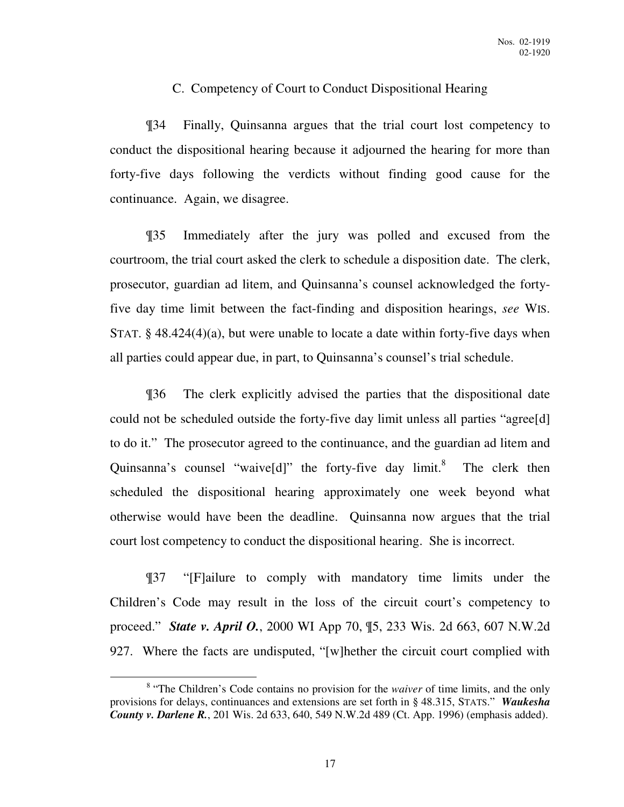### C. Competency of Court to Conduct Dispositional Hearing

¶34 Finally, Quinsanna argues that the trial court lost competency to conduct the dispositional hearing because it adjourned the hearing for more than forty-five days following the verdicts without finding good cause for the continuance. Again, we disagree.

¶35 Immediately after the jury was polled and excused from the courtroom, the trial court asked the clerk to schedule a disposition date. The clerk, prosecutor, guardian ad litem, and Quinsanna's counsel acknowledged the fortyfive day time limit between the fact-finding and disposition hearings, *see* WIS. STAT.  $\S$  48.424(4)(a), but were unable to locate a date within forty-five days when all parties could appear due, in part, to Quinsanna's counsel's trial schedule.

¶36 The clerk explicitly advised the parties that the dispositional date could not be scheduled outside the forty-five day limit unless all parties "agree[d] to do it." The prosecutor agreed to the continuance, and the guardian ad litem and Quinsanna's counsel "waive[d]" the forty-five day limit.<sup>8</sup> The clerk then scheduled the dispositional hearing approximately one week beyond what otherwise would have been the deadline. Quinsanna now argues that the trial court lost competency to conduct the dispositional hearing. She is incorrect.

¶37 "[F]ailure to comply with mandatory time limits under the Children's Code may result in the loss of the circuit court's competency to proceed." *State v. April O.*, 2000 WI App 70, ¶5, 233 Wis. 2d 663, 607 N.W.2d 927. Where the facts are undisputed, "[w]hether the circuit court complied with

<sup>&</sup>lt;sup>8</sup> "The Children's Code contains no provision for the *waiver* of time limits, and the only provisions for delays, continuances and extensions are set forth in § 48.315, STATS." *Waukesha County v. Darlene R.*, 201 Wis. 2d 633, 640, 549 N.W.2d 489 (Ct. App. 1996) (emphasis added).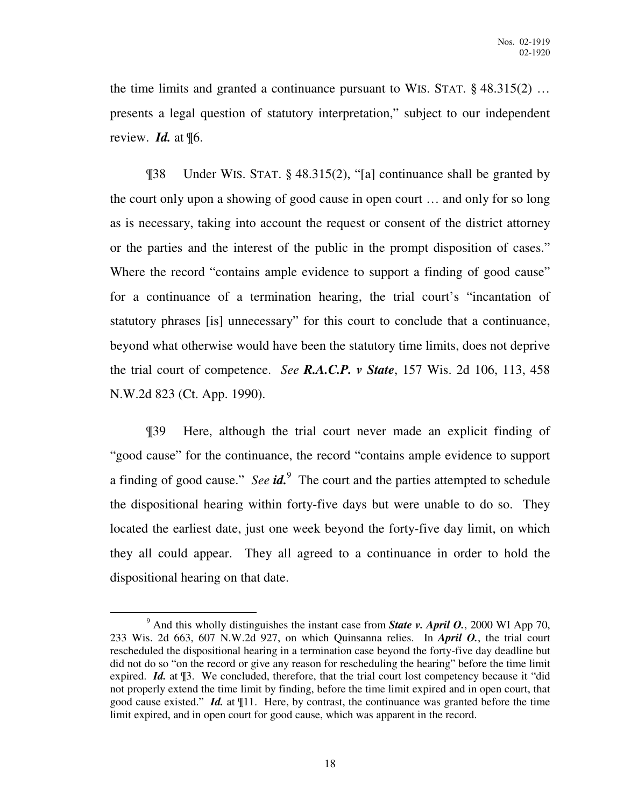the time limits and granted a continuance pursuant to WIS. STAT. § 48.315(2) … presents a legal question of statutory interpretation," subject to our independent review. *Id.* at ¶6.

¶38 Under WIS. STAT. § 48.315(2), "[a] continuance shall be granted by the court only upon a showing of good cause in open court … and only for so long as is necessary, taking into account the request or consent of the district attorney or the parties and the interest of the public in the prompt disposition of cases." Where the record "contains ample evidence to support a finding of good cause" for a continuance of a termination hearing, the trial court's "incantation of statutory phrases [is] unnecessary" for this court to conclude that a continuance, beyond what otherwise would have been the statutory time limits, does not deprive the trial court of competence. *See R.A.C.P. v State*, 157 Wis. 2d 106, 113, 458 N.W.2d 823 (Ct. App. 1990).

¶39 Here, although the trial court never made an explicit finding of "good cause" for the continuance, the record "contains ample evidence to support a finding of good cause." *See id*.<sup>9</sup> The court and the parties attempted to schedule the dispositional hearing within forty-five days but were unable to do so. They located the earliest date, just one week beyond the forty-five day limit, on which they all could appear. They all agreed to a continuance in order to hold the dispositional hearing on that date.

 $9^9$  And this wholly distinguishes the instant case from **State v. April O.**, 2000 WI App 70, 233 Wis. 2d 663, 607 N.W.2d 927, on which Quinsanna relies. In *April O.*, the trial court rescheduled the dispositional hearing in a termination case beyond the forty-five day deadline but did not do so "on the record or give any reason for rescheduling the hearing" before the time limit expired. *Id.* at  $\mathbb{I}$ 3. We concluded, therefore, that the trial court lost competency because it "did" not properly extend the time limit by finding, before the time limit expired and in open court, that good cause existed." *Id.* at ¶11. Here, by contrast, the continuance was granted before the time limit expired, and in open court for good cause, which was apparent in the record.